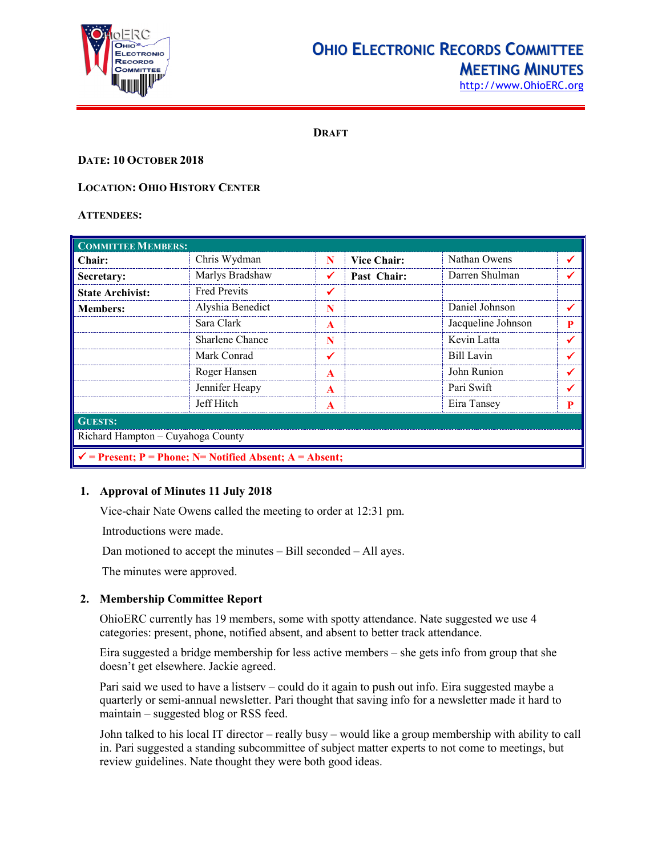

## **OHIO ELECTRONIC RECORDS COMMITTEE MEETING MINUTES**

[http://www.OhioERC.org](http://www.ohioerc.org/)

**DRAFT**

## **DATE: 10 OCTOBER 2018**

## **LOCATION: OHIO HISTORY CENTER**

### **ATTENDEES:**

| <b>COMMITTEE MEMBERS:</b>                                           |                     |                  |                    |                    |   |  |
|---------------------------------------------------------------------|---------------------|------------------|--------------------|--------------------|---|--|
| Chair:                                                              | Chris Wydman        | N                | <b>Vice Chair:</b> | Nathan Owens       |   |  |
| Secretary:                                                          | Marlys Bradshaw     |                  | Past Chair:        | Darren Shulman     |   |  |
| <b>State Archivist:</b>                                             | <b>Fred Previts</b> | ✔                |                    |                    |   |  |
| <b>Members:</b>                                                     | Alyshia Benedict    | N                |                    | Daniel Johnson     |   |  |
|                                                                     | Sara Clark          | A                |                    | Jacqueline Johnson | P |  |
|                                                                     | Sharlene Chance     | N                |                    | Kevin Latta        |   |  |
|                                                                     | Mark Conrad         |                  |                    | Bill Lavin         |   |  |
|                                                                     | Roger Hansen        | A                |                    | John Runion        |   |  |
|                                                                     | Jennifer Heapy      | A                |                    | Pari Swift         |   |  |
|                                                                     | Jeff Hitch          | $\blacktriangle$ |                    | Eira Tansey        | P |  |
| <b>GUESTS:</b>                                                      |                     |                  |                    |                    |   |  |
| Richard Hampton - Cuyahoga County                                   |                     |                  |                    |                    |   |  |
| $\checkmark$ = Present; P = Phone; N = Notified Absent; A = Absent; |                     |                  |                    |                    |   |  |

## **1. Approval of Minutes 11 July 2018**

Vice-chair Nate Owens called the meeting to order at 12:31 pm.

Introductions were made.

Dan motioned to accept the minutes – Bill seconded – All ayes.

The minutes were approved.

## **2. Membership Committee Report**

OhioERC currently has 19 members, some with spotty attendance. Nate suggested we use 4 categories: present, phone, notified absent, and absent to better track attendance.

Eira suggested a bridge membership for less active members – she gets info from group that she doesn't get elsewhere. Jackie agreed.

Pari said we used to have a listserv – could do it again to push out info. Eira suggested maybe a quarterly or semi-annual newsletter. Pari thought that saving info for a newsletter made it hard to maintain – suggested blog or RSS feed.

John talked to his local IT director – really busy – would like a group membership with ability to call in. Pari suggested a standing subcommittee of subject matter experts to not come to meetings, but review guidelines. Nate thought they were both good ideas.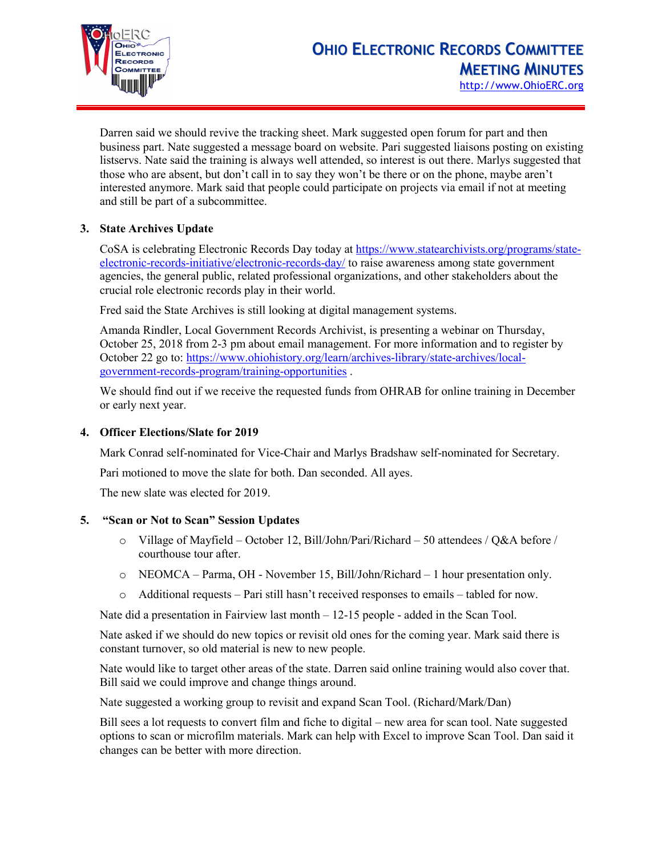

Darren said we should revive the tracking sheet. Mark suggested open forum for part and then business part. Nate suggested a message board on website. Pari suggested liaisons posting on existing listservs. Nate said the training is always well attended, so interest is out there. Marlys suggested that those who are absent, but don't call in to say they won't be there or on the phone, maybe aren't interested anymore. Mark said that people could participate on projects via email if not at meeting and still be part of a subcommittee.

## **3. State Archives Update**

CoSA is celebrating Electronic Records Day today at [https://www.statearchivists.org/programs/state](https://www.statearchivists.org/programs/state-electronic-records-initiative/electronic-records-day/)[electronic-records-initiative/electronic-records-day/](https://www.statearchivists.org/programs/state-electronic-records-initiative/electronic-records-day/) to raise awareness among state government agencies, the general public, related professional organizations, and other stakeholders about the crucial role electronic records play in their world.

Fred said the State Archives is still looking at digital management systems.

Amanda Rindler, Local Government Records Archivist, is presenting a webinar on Thursday, October 25, 2018 from 2-3 pm about email management. For more information and to register by October 22 go to: [https://www.ohiohistory.org/learn/archives-library/state-archives/local](https://www.ohiohistory.org/learn/archives-library/state-archives/local-government-records-program/training-opportunities)[government-records-program/training-opportunities](https://www.ohiohistory.org/learn/archives-library/state-archives/local-government-records-program/training-opportunities) .

We should find out if we receive the requested funds from OHRAB for online training in December or early next year.

## **4. Officer Elections/Slate for 2019**

Mark Conrad self-nominated for Vice-Chair and Marlys Bradshaw self-nominated for Secretary.

Pari motioned to move the slate for both. Dan seconded. All ayes.

The new slate was elected for 2019.

## **5. "Scan or Not to Scan" Session Updates**

- o Village of Mayfield October 12, Bill/John/Pari/Richard 50 attendees / Q&A before / courthouse tour after.
- o NEOMCA Parma, OH November 15, Bill/John/Richard 1 hour presentation only.
- o Additional requests Pari still hasn't received responses to emails tabled for now.

Nate did a presentation in Fairview last month – 12-15 people - added in the Scan Tool.

Nate asked if we should do new topics or revisit old ones for the coming year. Mark said there is constant turnover, so old material is new to new people.

Nate would like to target other areas of the state. Darren said online training would also cover that. Bill said we could improve and change things around.

Nate suggested a working group to revisit and expand Scan Tool. (Richard/Mark/Dan)

Bill sees a lot requests to convert film and fiche to digital – new area for scan tool. Nate suggested options to scan or microfilm materials. Mark can help with Excel to improve Scan Tool. Dan said it changes can be better with more direction.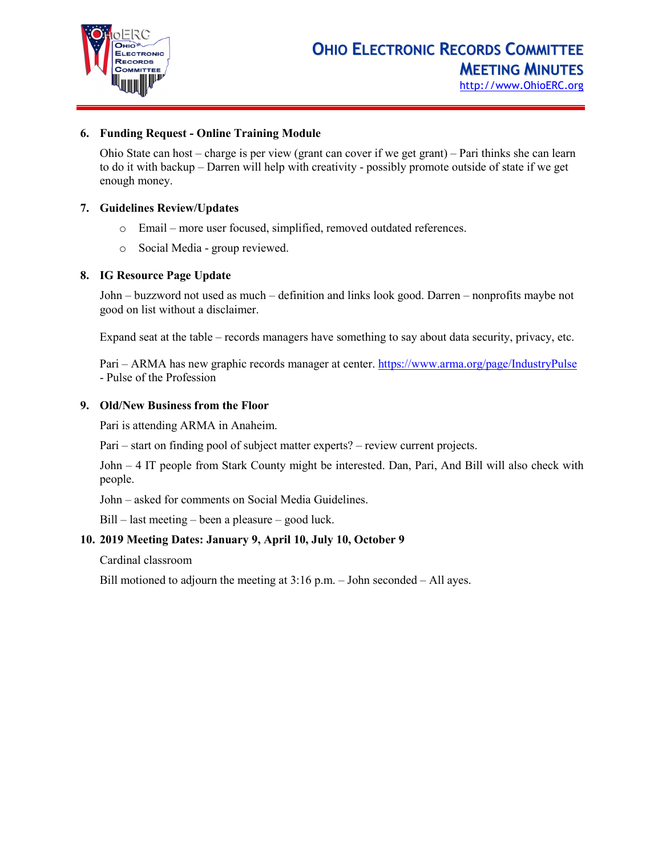

## **6. Funding Request - Online Training Module**

Ohio State can host – charge is per view (grant can cover if we get grant) – Pari thinks she can learn to do it with backup – Darren will help with creativity - possibly promote outside of state if we get enough money.

#### **7. Guidelines Review/Updates**

- o Email more user focused, simplified, removed outdated references.
- o Social Media group reviewed.

### **8. IG Resource Page Update**

John – buzzword not used as much – definition and links look good. Darren – nonprofits maybe not good on list without a disclaimer.

Expand seat at the table – records managers have something to say about data security, privacy, etc.

Pari – ARMA has new graphic records manager at center[. https://www.arma.org/page/IndustryPulse](https://www.arma.org/page/IndustryPulse) - Pulse of the Profession

#### **9. Old/New Business from the Floor**

Pari is attending ARMA in Anaheim.

Pari – start on finding pool of subject matter experts? – review current projects.

John – 4 IT people from Stark County might be interested. Dan, Pari, And Bill will also check with people.

John – asked for comments on Social Media Guidelines.

Bill – last meeting – been a pleasure – good luck.

## **10. 2019 Meeting Dates: January 9, April 10, July 10, October 9**

Cardinal classroom

Bill motioned to adjourn the meeting at 3:16 p.m. – John seconded – All ayes.